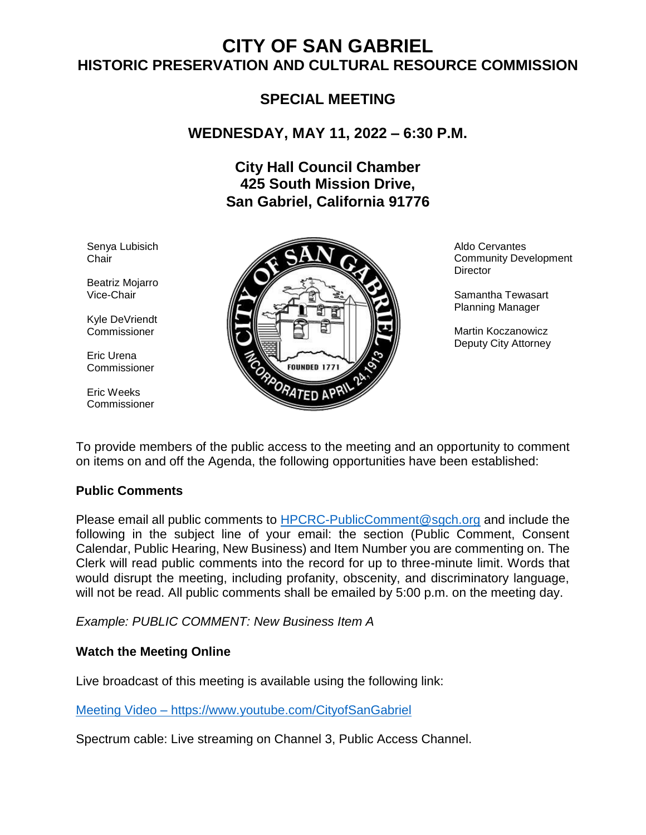# **CITY OF SAN GABRIEL HISTORIC PRESERVATION AND CULTURAL RESOURCE COMMISSION**

# **SPECIAL MEETING**

# **WEDNESDAY, MAY 11, 2022 – 6:30 P.M.**

# **City Hall Council Chamber 425 South Mission Drive, San Gabriel, California 91776**

Senya Lubisich **Chair** 

Beatriz Mojarro Vice-Chair

Kyle DeVriendt **Commissioner** 

Eric Urena Commissioner

Eric Weeks Commissioner



Aldo Cervantes Community Development **Director** 

Samantha Tewasart Planning Manager

Martin Koczanowicz Deputy City Attorney

To provide members of the public access to the meeting and an opportunity to comment on items on and off the Agenda, the following opportunities have been established:

### **Public Comments**

Please email all public comments to [HPCRC-PublicComment@sgch.org](mailto:HPCRC-PublicComment@sgch.org) and include the following in the subject line of your email: the section (Public Comment, Consent Calendar, Public Hearing, New Business) and Item Number you are commenting on. The Clerk will read public comments into the record for up to three-minute limit. Words that would disrupt the meeting, including profanity, obscenity, and discriminatory language, will not be read. All public comments shall be emailed by 5:00 p.m. on the meeting day.

*Example: PUBLIC COMMENT: New Business Item A*

### **Watch the Meeting Online**

Live broadcast of this meeting is available using the following link:

[Meeting Video](https://www.youtube.com/cityofsangabriel) – https://www.youtube.com/CityofSanGabriel

Spectrum cable: Live streaming on Channel 3, Public Access Channel.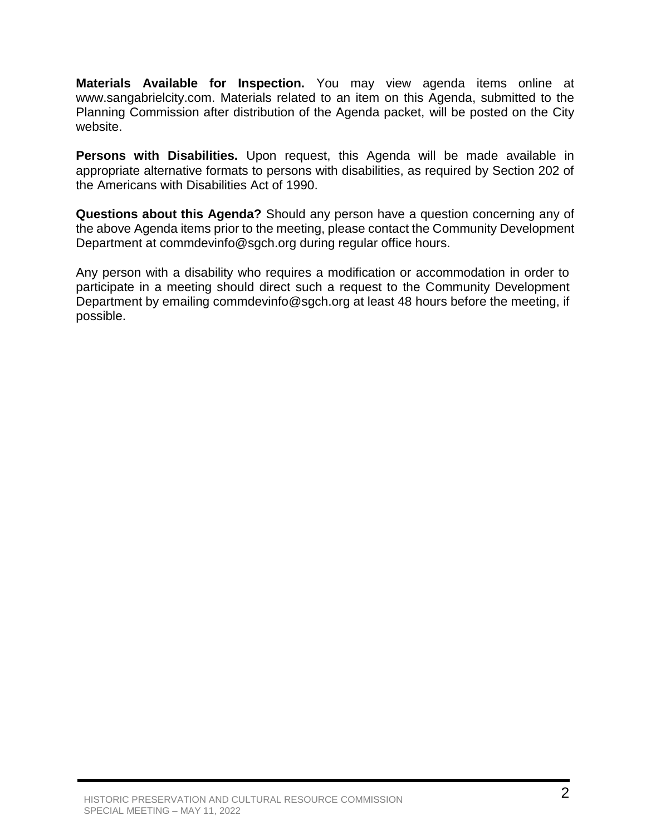**Materials Available for Inspection.** You may view agenda items online at www.sangabrielcity.com. Materials related to an item on this Agenda, submitted to the Planning Commission after distribution of the Agenda packet, will be posted on the City website.

**Persons with Disabilities.** Upon request, this Agenda will be made available in appropriate alternative formats to persons with disabilities, as required by Section 202 of the Americans with Disabilities Act of 1990.

**Questions about this Agenda?** Should any person have a question concerning any of the above Agenda items prior to the meeting, please contact the Community Development Department at commdevinfo@sgch.org during regular office hours.

Any person with a disability who requires a modification or accommodation in order to participate in a meeting should direct such a request to the Community Development Department by emailing commdevinfo@sgch.org at least 48 hours before the meeting, if possible.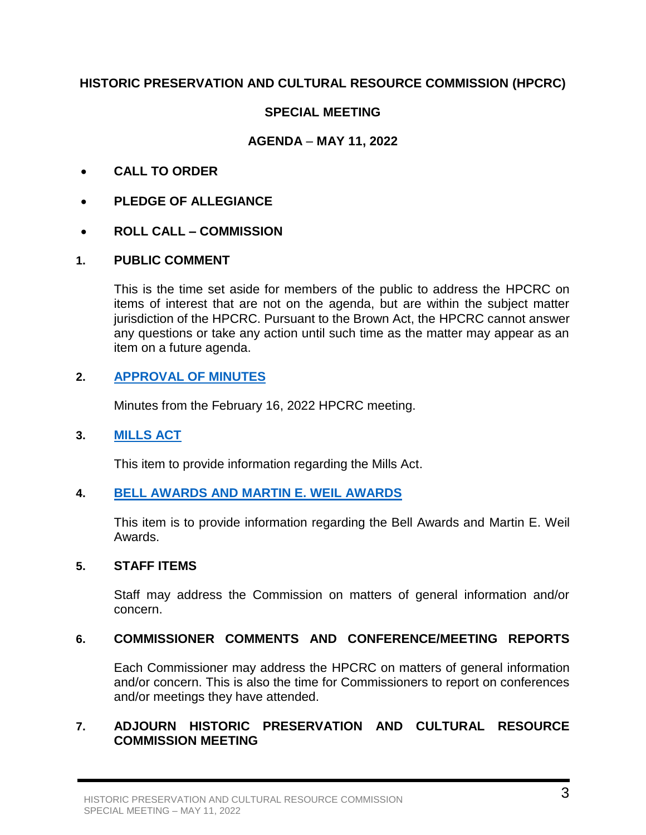# **HISTORIC PRESERVATION AND CULTURAL RESOURCE COMMISSION (HPCRC)**

# **SPECIAL MEETING**

# **AGENDA** – **MAY 11, 2022**

- **CALL TO ORDER**
- **PLEDGE OF ALLEGIANCE**
- **ROLL CALL – COMMISSION**

### **1. PUBLIC COMMENT**

This is the time set aside for members of the public to address the HPCRC on items of interest that are not on the agenda, but are within the subject matter jurisdiction of the HPCRC. Pursuant to the Brown Act, the HPCRC cannot answer any questions or take any action until such time as the matter may appear as an item on a future agenda.

# **2. [APPROVAL OF MINUTES](https://www.sangabrielcity.com/DocumentCenter/View/16523/21622-Minutes--DRAFT)**

Minutes from the February 16, 2022 HPCRC meeting.

### **3. [MILLS ACT](https://www.sangabrielcity.com/DocumentCenter/View/16530/Mills-Act-Packet)**

This item to provide information regarding the Mills Act.

### **4. [BELL AWARDS AND MARTIN E. WEIL AWARDS](https://www.sangabrielcity.com/DocumentCenter/View/16529/Bell-Awards-Packet)**

This item is to provide information regarding the Bell Awards and Martin E. Weil Awards.

### **5. STAFF ITEMS**

Staff may address the Commission on matters of general information and/or concern.

### **6. COMMISSIONER COMMENTS AND CONFERENCE/MEETING REPORTS**

Each Commissioner may address the HPCRC on matters of general information and/or concern. This is also the time for Commissioners to report on conferences and/or meetings they have attended.

# **7. ADJOURN HISTORIC PRESERVATION AND CULTURAL RESOURCE COMMISSION MEETING**